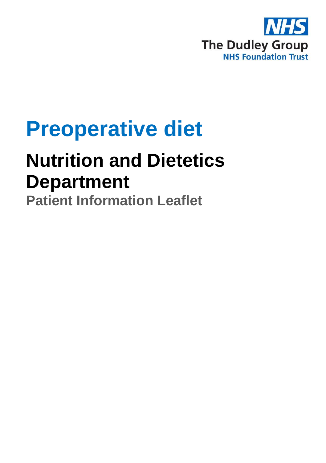

# **Preoperative diet**

## **Nutrition and Dietetics Department**

**Patient Information Leaflet**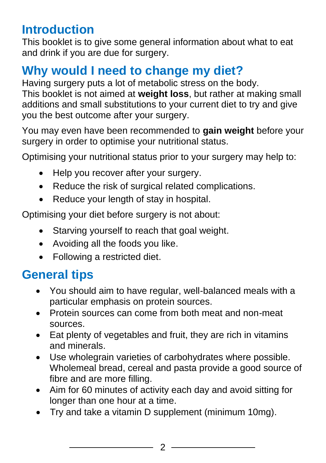### **Introduction**

This booklet is to give some general information about what to eat and drink if you are due for surgery.

### **Why would I need to change my diet?**

Having surgery puts a lot of metabolic stress on the body. This booklet is not aimed at **weight loss**, but rather at making small additions and small substitutions to your current diet to try and give you the best outcome after your surgery.

You may even have been recommended to **gain weight** before your surgery in order to optimise your nutritional status.

Optimising your nutritional status prior to your surgery may help to:

- Help you recover after your surgery.
- Reduce the risk of surgical related complications.
- Reduce your length of stay in hospital.

Optimising your diet before surgery is not about:

- Starving yourself to reach that goal weight.
- Avoiding all the foods you like.
- Following a restricted diet.

### **General tips**

- You should aim to have regular, well-balanced meals with a particular emphasis on protein sources.
- Protein sources can come from both meat and non-meat sources.
- Eat plenty of vegetables and fruit, they are rich in vitamins and minerals.
- Use wholegrain varieties of carbohydrates where possible. Wholemeal bread, cereal and pasta provide a good source of fibre and are more filling.
- Aim for 60 minutes of activity each day and avoid sitting for longer than one hour at a time.
- Try and take a vitamin D supplement (minimum 10mg).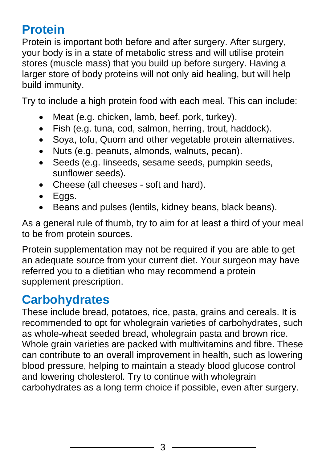### **Protein**

Protein is important both before and after surgery. After surgery, your body is in a state of metabolic stress and will utilise protein stores (muscle mass) that you build up before surgery. Having a larger store of body proteins will not only aid healing, but will help build immunity.

Try to include a high protein food with each meal. This can include:

- Meat (e.g. chicken, lamb, beef, pork, turkey).
- Fish (e.g. tuna, cod, salmon, herring, trout, haddock).
- Soya, tofu, Quorn and other vegetable protein alternatives.
- Nuts (e.g. peanuts, almonds, walnuts, pecan).
- Seeds (e.g. linseeds, sesame seeds, pumpkin seeds, sunflower seeds).
- Cheese (all cheeses soft and hard).
- Eggs.
- Beans and pulses (lentils, kidney beans, black beans).

As a general rule of thumb, try to aim for at least a third of your meal to be from protein sources.

Protein supplementation may not be required if you are able to get an adequate source from your current diet. Your surgeon may have referred you to a dietitian who may recommend a protein supplement prescription.

### **Carbohydrates**

These include bread, potatoes, rice, pasta, grains and cereals. It is recommended to opt for wholegrain varieties of carbohydrates, such as whole-wheat seeded bread, wholegrain pasta and brown rice. Whole grain varieties are packed with multivitamins and fibre. These can contribute to an overall improvement in health, such as lowering blood pressure, helping to maintain a steady blood glucose control and lowering cholesterol. Try to continue with wholegrain carbohydrates as a long term choice if possible, even after surgery.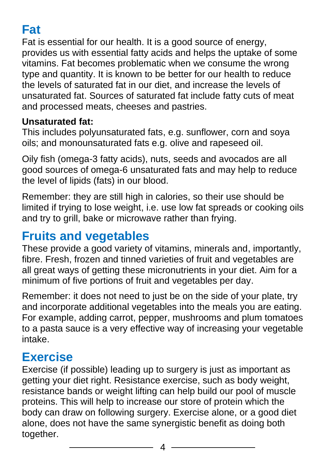### **Fat**

Fat is essential for our health. It is a good source of energy, provides us with essential fatty acids and helps the uptake of some vitamins. Fat becomes problematic when we consume the wrong type and quantity. It is known to be better for our health to reduce the levels of saturated fat in our diet, and increase the levels of unsaturated fat. Sources of saturated fat include fatty cuts of meat and processed meats, cheeses and pastries.

#### **Unsaturated fat:**

This includes polyunsaturated fats, e.g. sunflower, corn and soya oils; and monounsaturated fats e.g. olive and rapeseed oil.

Oily fish (omega-3 fatty acids), nuts, seeds and avocados are all good sources of omega-6 unsaturated fats and may help to reduce the level of lipids (fats) in our blood.

Remember: they are still high in calories, so their use should be limited if trying to lose weight, i.e. use low fat spreads or cooking oils and try to grill, bake or microwave rather than frying.

### **Fruits and vegetables**

These provide a good variety of vitamins, minerals and, importantly, fibre. Fresh, frozen and tinned varieties of fruit and vegetables are all great ways of getting these micronutrients in your diet. Aim for a minimum of five portions of fruit and vegetables per day.

Remember: it does not need to just be on the side of your plate, try and incorporate additional vegetables into the meals you are eating. For example, adding carrot, pepper, mushrooms and plum tomatoes to a pasta sauce is a very effective way of increasing your vegetable intake.

### **Exercise**

Exercise (if possible) leading up to surgery is just as important as getting your diet right. Resistance exercise, such as body weight, resistance bands or weight lifting can help build our pool of muscle proteins. This will help to increase our store of protein which the body can draw on following surgery. Exercise alone, or a good diet alone, does not have the same synergistic benefit as doing both together.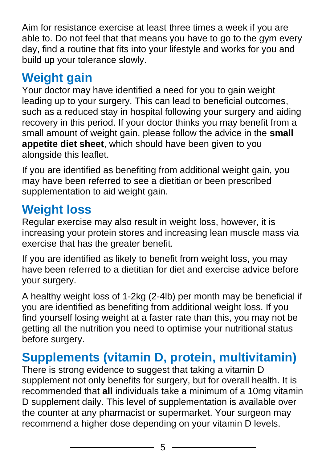Aim for resistance exercise at least three times a week if you are able to. Do not feel that that means you have to go to the gym every day, find a routine that fits into your lifestyle and works for you and build up your tolerance slowly.

### **Weight gain**

Your doctor may have identified a need for you to gain weight leading up to your surgery. This can lead to beneficial outcomes, such as a reduced stay in hospital following your surgery and aiding recovery in this period. If your doctor thinks you may benefit from a small amount of weight gain, please follow the advice in the **small appetite diet sheet**, which should have been given to you alongside this leaflet.

If you are identified as benefiting from additional weight gain, you may have been referred to see a dietitian or been prescribed supplementation to aid weight gain.

### **Weight loss**

Regular exercise may also result in weight loss, however, it is increasing your protein stores and increasing lean muscle mass via exercise that has the greater benefit.

If you are identified as likely to benefit from weight loss, you may have been referred to a dietitian for diet and exercise advice before your surgery.

A healthy weight loss of 1-2kg (2-4lb) per month may be beneficial if you are identified as benefiting from additional weight loss. If you find yourself losing weight at a faster rate than this, you may not be getting all the nutrition you need to optimise your nutritional status before surgery.

### **Supplements (vitamin D, protein, multivitamin)**

There is strong evidence to suggest that taking a vitamin D supplement not only benefits for surgery, but for overall health. It is recommended that **all** individuals take a minimum of a 10mg vitamin D supplement daily. This level of supplementation is available over the counter at any pharmacist or supermarket. Your surgeon may recommend a higher dose depending on your vitamin D levels.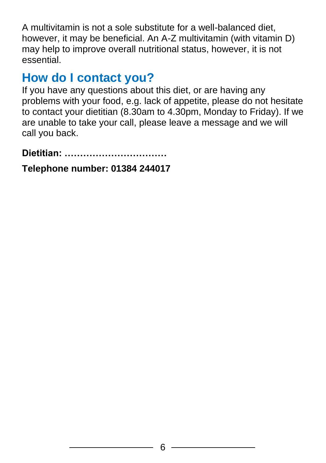A multivitamin is not a sole substitute for a well-balanced diet, however, it may be beneficial. An A-Z multivitamin (with vitamin D) may help to improve overall nutritional status, however, it is not essential.

### **How do I contact you?**

If you have any questions about this diet, or are having any problems with your food, e.g. lack of appetite, please do not hesitate to contact your dietitian (8.30am to 4.30pm, Monday to Friday). If we are unable to take your call, please leave a message and we will call you back.

**Dietitian: ……………………………** 

**Telephone number: 01384 244017**